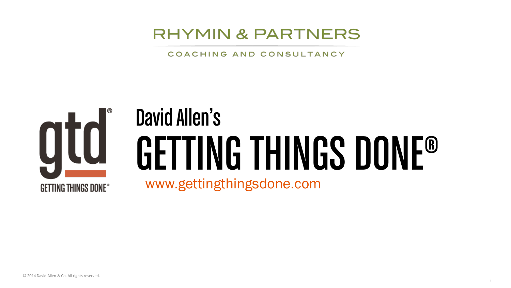### **RHYMIN & PARTNERS**

COACHING AND CONSULTANCY



# GETTING THINGS DONE® David Allen's

www.gettingthingsdone.com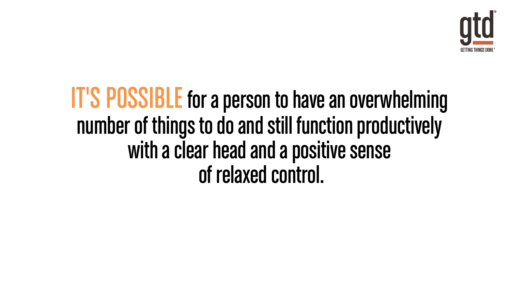

# IT'S POSSIBLE for a person to have an overwhelming number of things to do and still function productively with a clear head and a positive sense of relaxed control.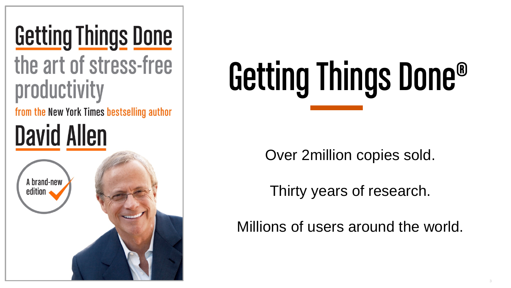# **Getting Things Done**

### the art of stress-free productivity

from the New York Times bestselling author

# **David Allen**



# Getting Things Done®

Over 2million copies sold.

Thirty years of research.

Millions of users around the world.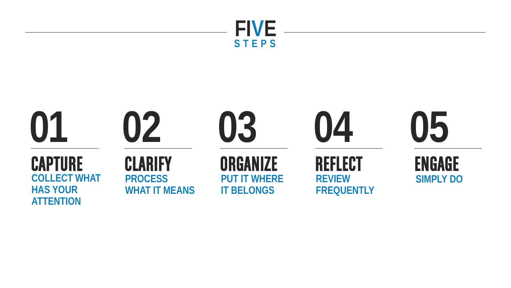

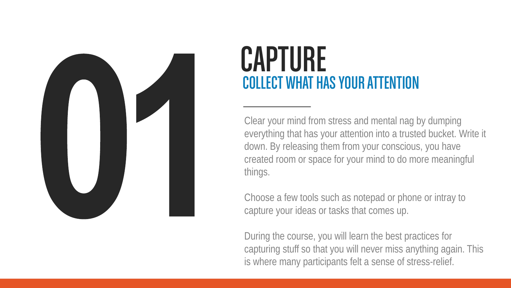

# CAPTURE COLLECT WHAT HAS YOUR ATTENTION

Clear your mind from stress and mental nag by dumping everything that has your attention into a trusted bucket. Write it down. By releasing them from your conscious, you have created room or space for your mind to do more meaningful things.

Choose a few tools such as notepad or phone or intray to capture your ideas or tasks that comes up.

During the course, you will learn the best practices for capturing stuff so that you will never miss anything again. This is where many participants felt a sense of stress-relief.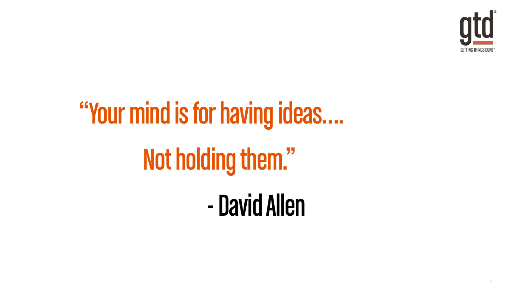

# "Your mind is for having ideas…. Not holding them." -David Allen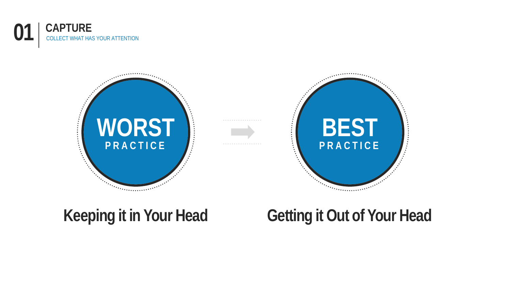



### **Keeping it in Your Head**

### **Getting it Out of Your Head**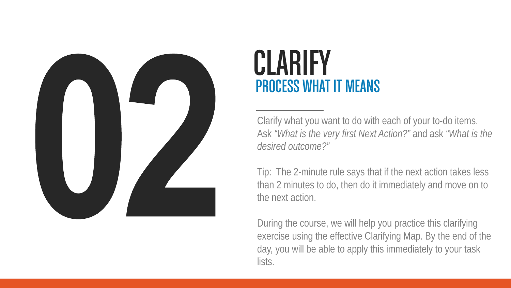

## **CLARIFY** PROCESS WHAT IT MEANS

Clarify what you want to do with each of your to-do items. Ask *"What is the very first Next Action?"* and ask *"What is the desired outcome?"*

Tip: The 2-minute rule says that if the next action takes less than 2 minutes to do, then do it immediately and move on to the next action.

During the course, we will help you practice this clarifying exercise using the effective Clarifying Map. By the end of the day, you will be able to apply this immediately to your task lists.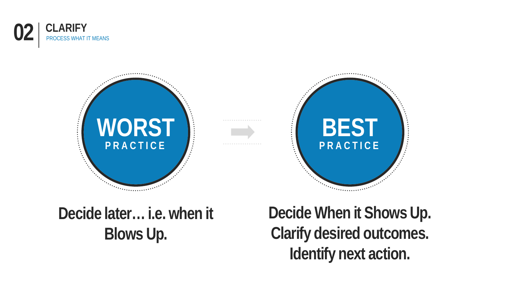





### **Decide later… i.e. when it Blows Up.**

**Decide When it Shows Up. Clarify desired outcomes. Identify next action.**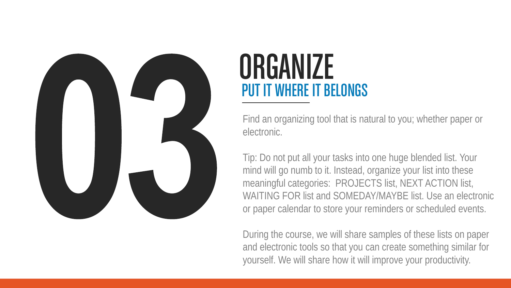

### **ORGANIZE** PUT IT WHERE IT BELONGS

Find an organizing tool that is natural to you; whether paper or electronic.

Tip: Do not put all your tasks into one huge blended list. Your mind will go numb to it. Instead, organize your list into these meaningful categories: PROJECTS list, NEXT ACTION list, WAITING FOR list and SOMEDAY/MAYBE list. Use an electronic or paper calendar to store your reminders or scheduled events.

During the course, we will share samples of these lists on paper and electronic tools so that you can create something similar for yourself. We will share how it will improve your productivity.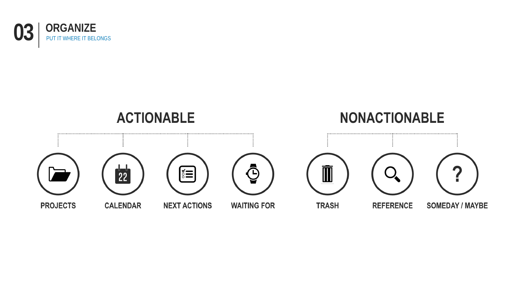

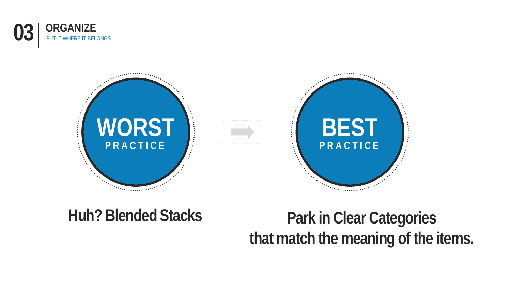



### **Huh? Blended Stacks**

### **Park in Clear Categories that match the meaning of the items.**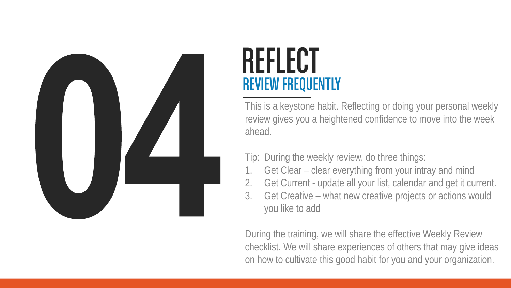

# **REFLECT** REVIEW FREQUENTLY

This is a keystone habit. Reflecting or doing your personal weekly review gives you a heightened confidence to move into the week ahead.

Tip: During the weekly review, do three things:

- Get Clear clear everything from your intray and mind
- 2. Get Current update all your list, calendar and get it current.
- 3. Get Creative what new creative projects or actions would you like to add

During the training, we will share the effective Weekly Review checklist. We will share experiences of others that may give ideas on how to cultivate this good habit for you and your organization.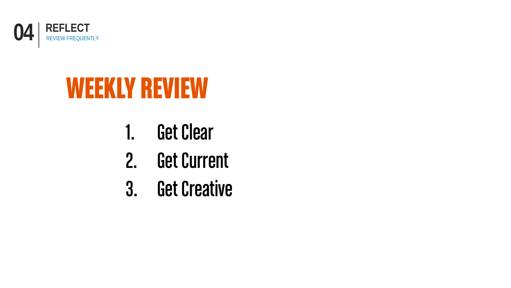![](_page_13_Picture_0.jpeg)

# WEEKLY REVIEW

- 1. Get Clear
- 2. Get Current
- 3. Get Creative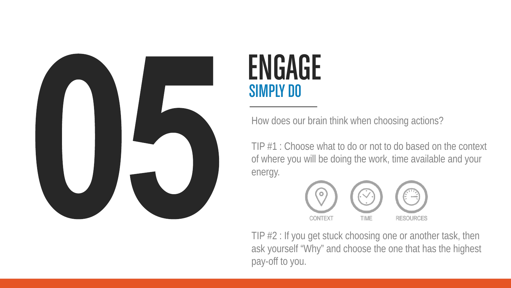![](_page_14_Picture_0.jpeg)

## ENGAGE SIMPLY DO

How does our brain think when choosing actions?

TIP #1 : Choose what to do or not to do based on the context of where you will be doing the work, time available and your energy.

![](_page_14_Figure_4.jpeg)

TIP #2 : If you get stuck choosing one or another task, then ask yourself "Why" and choose the one that has the highest pay-off to you.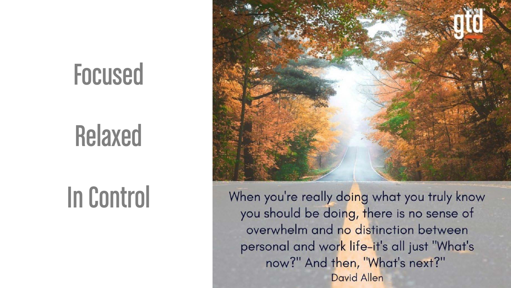# Focused

# Relaxed

# In Control

![](_page_15_Picture_3.jpeg)

When you're really doing what you truly know you should be doing, there is no sense of overwhelm and no distinction between personal and work life-it's all just "What's now?" And then, "What's next?" **David Allen**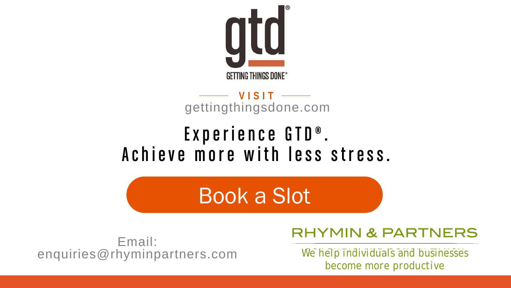![](_page_16_Picture_0.jpeg)

### **VISIT** gettingthingsdone.com

### Experience GTD®. Achieve more with less stress.

Book a Slot

Email: enquiries@rhyminpartners.com

### **RHYMIN & PARTNERS**

*We help individuals and businesses become more productive*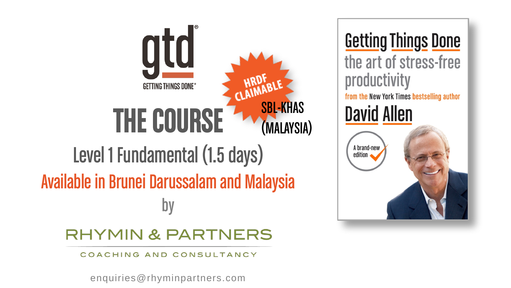# atd **GETTING THINGS DONE®** SBL-KHAS THE COURSE (MALAYSIA)Level 1 Fundamental (1.5 days) Available in Brunei Darussalam and Malaysia by

### **RHYMIN & PARTNERS**

COACHING AND CONSULTANCY

enquiries@rhyminpartners.com

**Getting Things Done** the art of stress-free productivity from the New York Times bestselling author **David Allen** 

A brand-new edition  $\bullet$